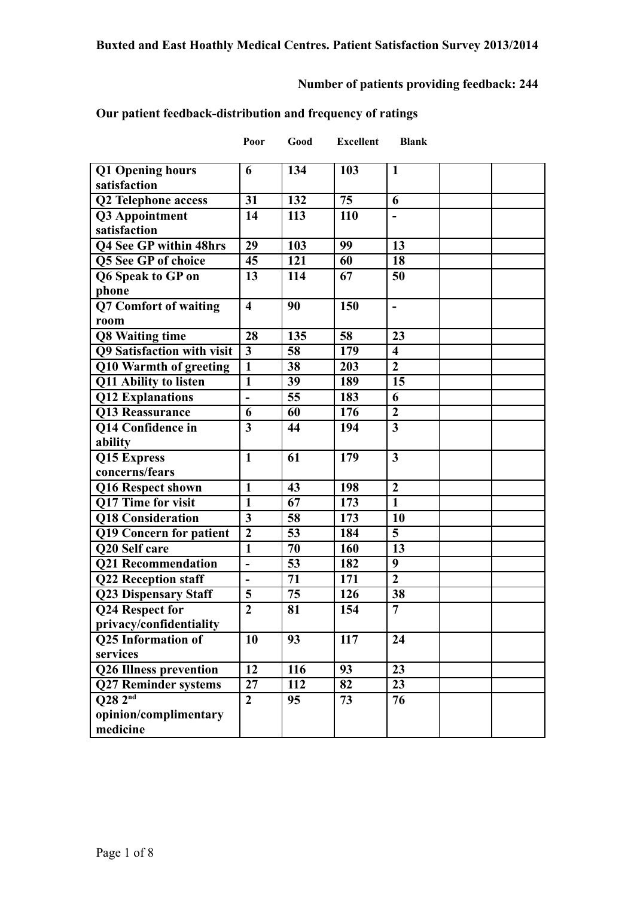# **Number of patients providing feedback: 244**

**Blank** 

## **Our patient feedback-distribution and frequency of ratings**

| Poor | Good | Excellent |
|------|------|-----------|
|      |      |           |

| <b>Q1 Opening hours</b><br>satisfaction | 6                       | 134             | 103 | $\mathbf{1}$             |  |
|-----------------------------------------|-------------------------|-----------------|-----|--------------------------|--|
| <b>Q2 Telephone access</b>              | 31                      | 132             | 75  | 6                        |  |
| Q3 Appointment                          | 14                      | 113             | 110 |                          |  |
| satisfaction                            |                         |                 |     |                          |  |
| Q4 See GP within 48hrs                  | 29                      | 103             | 99  | 13                       |  |
| <b>Q5 See GP of choice</b>              | 45                      | 121             | 60  | 18                       |  |
| Q6 Speak to GP on                       | 13                      | 114             | 67  | 50                       |  |
| phone                                   |                         |                 |     |                          |  |
| <b>Q7 Comfort of waiting</b>            | $\overline{\mathbf{4}}$ | 90              | 150 | $\overline{\phantom{a}}$ |  |
| room                                    |                         |                 |     |                          |  |
| <b>Q8 Waiting time</b>                  | 28                      | 135             | 58  | 23                       |  |
| <b>Q9 Satisfaction with visit</b>       | $\overline{\mathbf{3}}$ | 58              | 179 | $\overline{\mathbf{4}}$  |  |
| Q10 Warmth of greeting                  | $\mathbf{1}$            | 38              | 203 | $\overline{2}$           |  |
| Q11 Ability to listen                   | $\mathbf{1}$            | $\overline{39}$ | 189 | 15                       |  |
| <b>Q12 Explanations</b>                 | $\blacksquare$          | 55              | 183 | 6                        |  |
| Q13 Reassurance                         | 6                       | 60              | 176 | $\boldsymbol{2}$         |  |
| <b>Q14 Confidence in</b>                | $\overline{\mathbf{3}}$ | 44              | 194 | $\overline{\mathbf{3}}$  |  |
| ability                                 |                         |                 |     |                          |  |
| Q15 Express                             | $\mathbf{1}$            | 61              | 179 | $\overline{\mathbf{3}}$  |  |
| concerns/fears                          |                         |                 |     |                          |  |
| Q16 Respect shown                       | $\mathbf{1}$            | 43              | 198 | $\overline{2}$           |  |
| Q17 Time for visit                      | $\mathbf{1}$            | 67              | 173 | $\mathbf{1}$             |  |
| Q18 Consideration                       | $\mathbf{3}$            | 58              | 173 | 10                       |  |
| <b>Q19 Concern for patient</b>          | $\overline{2}$          | 53              | 184 | 5                        |  |
| Q20 Self care                           | $\overline{\mathbf{1}}$ | $\overline{70}$ | 160 | 13                       |  |
| <b>Q21 Recommendation</b>               | $\blacksquare$          | 53              | 182 | 9                        |  |
| <b>Q22 Reception staff</b>              |                         | 71              | 171 | $\overline{2}$           |  |
| <b>Q23 Dispensary Staff</b>             | 5                       | 75              | 126 | 38                       |  |
| Q24 Respect for                         | $\overline{2}$          | 81              | 154 | $\overline{7}$           |  |
| privacy/confidentiality                 |                         |                 |     |                          |  |
| <b>Q25 Information of</b>               | 10                      | $\overline{93}$ | 117 | $\overline{24}$          |  |
| services                                |                         |                 |     |                          |  |
| <b>Q26 Illness prevention</b>           | 12                      | 116             | 93  | 23                       |  |
| <b>Q27 Reminder systems</b>             | 27                      | 112             | 82  | 23                       |  |
| Q28 2nd                                 | $\overline{2}$          | 95              | 73  | 76                       |  |
| opinion/complimentary                   |                         |                 |     |                          |  |
| medicine                                |                         |                 |     |                          |  |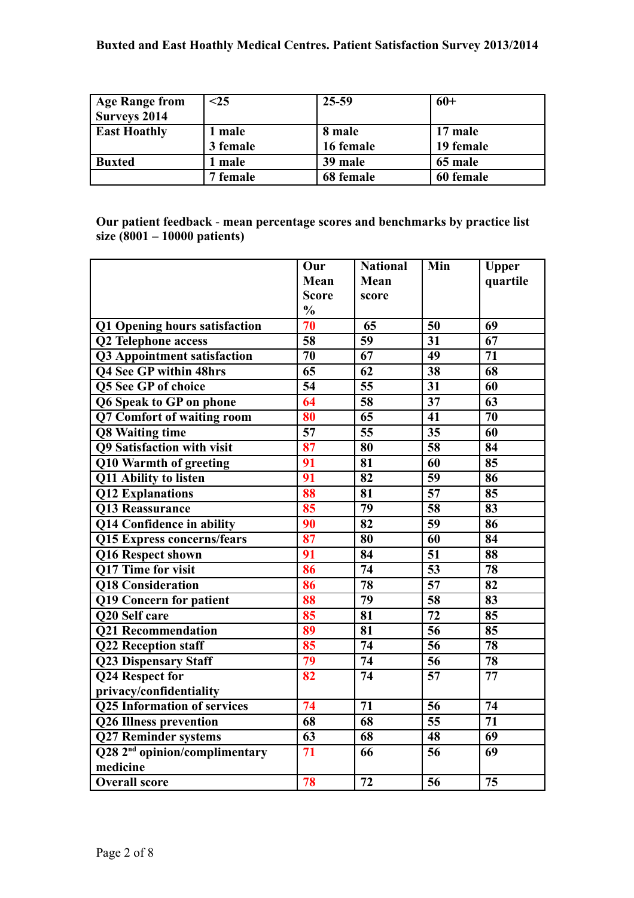| <b>Age Range from</b> | $25$     | 25-59     | $60+$     |
|-----------------------|----------|-----------|-----------|
| <b>Surveys 2014</b>   |          |           |           |
| <b>East Hoathly</b>   | l male   | 8 male    | 17 male   |
|                       | 3 female | 16 female | 19 female |
| <b>Buxted</b>         | l male   | 39 male   | 65 male   |
|                       | 7 female | 68 female | 60 female |

**Our patient feedback** - **mean percentage scores and benchmarks by practice list size (8001 – 10000 patients)**

|                                           | Our                 | <b>National</b>     | Min             | <b>Upper</b>                        |
|-------------------------------------------|---------------------|---------------------|-----------------|-------------------------------------|
|                                           | Mean                | Mean                |                 | quartile                            |
|                                           | <b>Score</b>        | score               |                 |                                     |
|                                           | $\frac{0}{0}$       |                     |                 |                                     |
| Q1 Opening hours satisfaction             | $\overline{70}$     | 65                  | 50              | 69                                  |
| Q2 Telephone access                       | 58                  | $\overline{59}$     | 31              | 67                                  |
| Q3 Appointment satisfaction               | $\overline{70}$     | $\overline{67}$     | $\overline{49}$ | $\overline{71}$                     |
| <b>Q4 See GP within 48hrs</b>             | $\overline{65}$     | $\overline{62}$     | $\overline{38}$ | $\overline{68}$                     |
| <b>Q5 See GP of choice</b>                | $\overline{54}$     | $\overline{55}$     | 31              | 60                                  |
| <b>Q6 Speak to GP on phone</b>            | 64                  | $\overline{58}$     | 37              | 63                                  |
| Q7 Comfort of waiting room                | 80                  | $\overline{65}$     | 41              | 70                                  |
| <b>Q8 Waiting time</b>                    | $\overline{57}$     | $\overline{55}$     | 35              | 60                                  |
| Q9 Satisfaction with visit                | $\overline{\bf 87}$ | $\overline{\bf 80}$ | $\overline{58}$ | $\overline{84}$                     |
| <b>Q10 Warmth of greeting</b>             | 91                  | $\overline{\bf 81}$ | $\overline{60}$ | $\overline{\textbf{85}}$            |
| Q11 Ability to listen                     | $\overline{91}$     | $\overline{82}$     | $\overline{59}$ | $\overline{\overline{\mathbf{86}}}$ |
| Q12 Explanations                          | 88                  | 81                  | $\overline{57}$ | 85                                  |
| <b>Q13 Reassurance</b>                    | 85                  | 79                  | 58              | 83                                  |
| Q14 Confidence in ability                 | 90                  | 82                  | 59              | 86                                  |
| <b>Q15 Express concerns/fears</b>         | $\overline{\bf 87}$ | $\overline{\bf 80}$ | $\overline{60}$ | $\overline{84}$                     |
| Q16 Respect shown                         | $\overline{91}$     | $\overline{84}$     | 51              | 88                                  |
| Q17 Time for visit                        | 86                  | $\overline{74}$     | $\overline{53}$ | $\overline{78}$                     |
| <b>Q18 Consideration</b>                  | 86                  | $\overline{78}$     | $\overline{57}$ | $\overline{82}$                     |
| Q19 Concern for patient                   | 88                  | $\overline{79}$     | 58              | 83                                  |
| Q20 Self care                             | 85                  | 81                  | 72              | 85                                  |
| <b>Q21 Recommendation</b>                 | 89                  | 81                  | 56              | 85                                  |
| <b>Q22 Reception staff</b>                | 85                  | $\overline{74}$     | 56              | $\overline{78}$                     |
| <b>Q23 Dispensary Staff</b>               | $\overline{79}$     | $\overline{74}$     | 56              | $\overline{78}$                     |
| Q24 Respect for                           | 82                  | 74                  | $\overline{57}$ | $\overline{77}$                     |
| privacy/confidentiality                   |                     |                     |                 |                                     |
| <b>Q25 Information of services</b>        | $\overline{74}$     | $\overline{71}$     | $\overline{56}$ | $\overline{74}$                     |
| <b>Q26 Illness prevention</b>             | $\overline{68}$     | $\overline{68}$     | $\overline{55}$ | $\overline{71}$                     |
| <b>Q27 Reminder systems</b>               | 63                  | 68                  | 48              | 69                                  |
| Q28 2 <sup>nd</sup> opinion/complimentary | 71                  | 66                  | 56              | 69                                  |
| medicine                                  |                     |                     |                 |                                     |
| <b>Overall score</b>                      | 78                  | 72                  | 56              | 75                                  |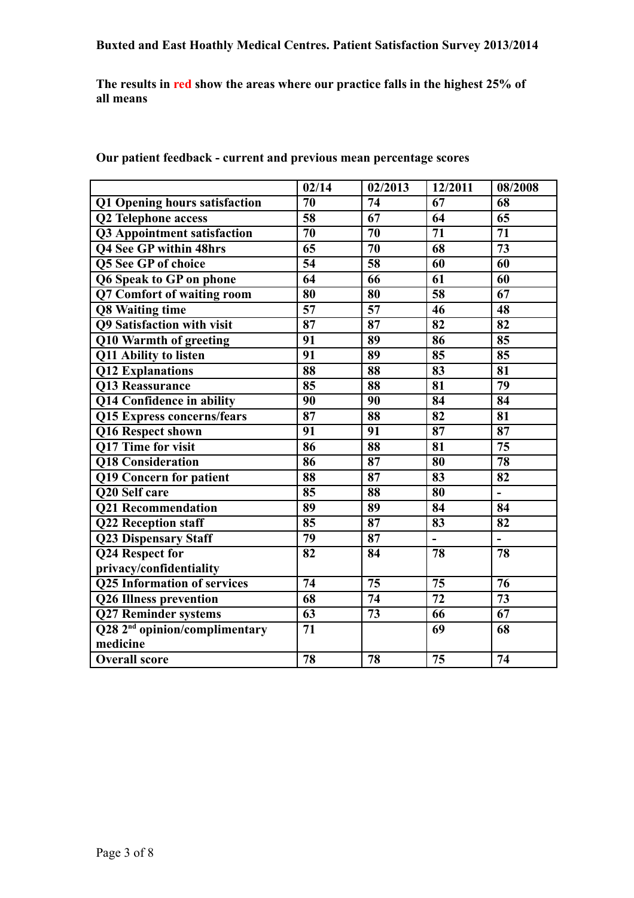**The results in red show the areas where our practice falls in the highest 25% of all means**

|                                           | 02/14                      | 02/2013                  | 12/2011         | 08/2008         |
|-------------------------------------------|----------------------------|--------------------------|-----------------|-----------------|
| Q1 Opening hours satisfaction             | 70                         | 74                       | 67              | 68              |
| <b>Q2 Telephone access</b>                | $\overline{58}$            | $\overline{67}$          | 64              | $\overline{65}$ |
| Q3 Appointment satisfaction               | 70                         | $\overline{70}$          | 71              | $\overline{71}$ |
| <b>Q4 See GP within 48hrs</b>             | 65                         | 70                       | 68              | 73              |
| Q5 See GP of choice                       | $\overline{54}$            | $\overline{58}$          | $\overline{60}$ | $\overline{60}$ |
| Q6 Speak to GP on phone                   | 64                         | 66                       | 61              | 60              |
| Q7 Comfort of waiting room                | 80                         | 80                       | 58              | 67              |
| <b>Q8 Waiting time</b>                    | $\overline{57}$            | $\overline{57}$          | 46              | 48              |
| <b>Q9 Satisfaction with visit</b>         | $\overline{\overline{87}}$ | 87                       | 82              | 82              |
| Q10 Warmth of greeting                    | 91                         | 89                       | 86              | 85              |
| Q11 Ability to listen                     | $\overline{91}$            | 89                       | 85              | 85              |
| <b>Q12 Explanations</b>                   | 88                         | 88                       | 83              | 81              |
| <b>Q13 Reassurance</b>                    | 85                         | 88                       | 81              | 79              |
| Q14 Confidence in ability                 | 90                         | 90                       | 84              | 84              |
| <b>Q15 Express concerns/fears</b>         | $\overline{\overline{87}}$ | 88                       | 82              | 81              |
| Q16 Respect shown                         | 91                         | 91                       | 87              | 87              |
| Q17 Time for visit                        | $\overline{86}$            | 88                       | 81              | $\overline{75}$ |
| <b>Q18 Consideration</b>                  | 86                         | 87                       | 80              | 78              |
| Q19 Concern for patient                   | 88                         | 87                       | 83              | 82              |
| Q20 Self care                             | 85                         | $\overline{\textbf{88}}$ | 80              | $\blacksquare$  |
| <b>Q21 Recommendation</b>                 | 89                         | 89                       | 84              | 84              |
| <b>Q22 Reception staff</b>                | 85                         | 87                       | 83              | 82              |
| <b>Q23 Dispensary Staff</b>               | $\overline{79}$            | 87                       | $\overline{a}$  | $\frac{1}{2}$   |
| Q24 Respect for                           | 82                         | 84                       | 78              | 78              |
| privacy/confidentiality                   |                            |                          |                 |                 |
| <b>Q25 Information of services</b>        | 74                         | $\overline{75}$          | 75              | 76              |
| <b>Q26 Illness prevention</b>             | $\overline{68}$            | $\overline{74}$          | $\overline{72}$ | $\overline{73}$ |
| <b>Q27 Reminder systems</b>               | 63                         | $\overline{73}$          | 66              | 67              |
| Q28 2 <sup>nd</sup> opinion/complimentary | $\overline{71}$            |                          | 69              | $\overline{68}$ |
| medicine                                  |                            |                          |                 |                 |
| <b>Overall score</b>                      | 78                         | 78                       | 75              | 74              |

**Our patient feedback - current and previous mean percentage scores**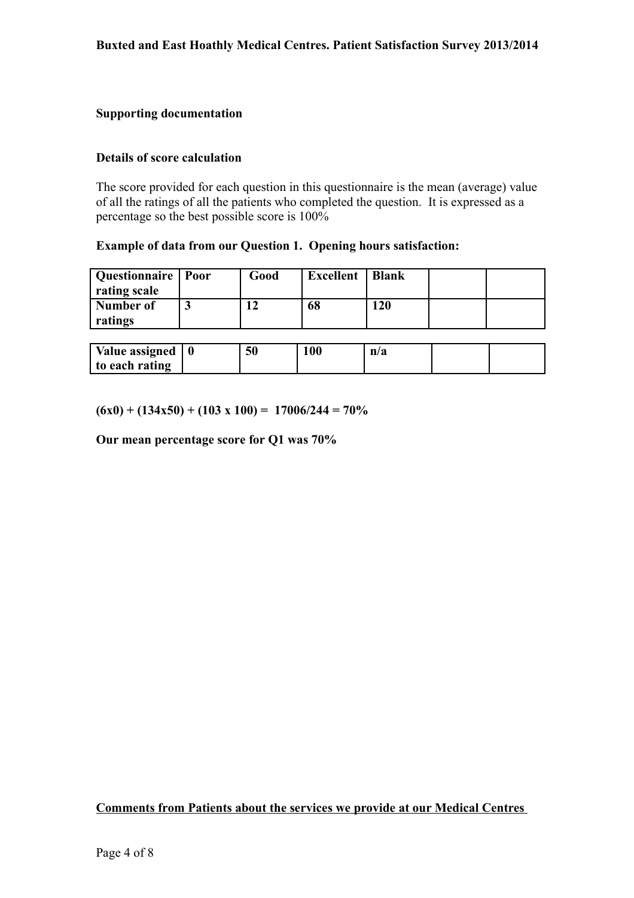## **Supporting documentation**

#### **Details of score calculation**

The score provided for each question in this questionnaire is the mean (average) value of all the ratings of all the patients who completed the question. It is expressed as a percentage so the best possible score is 100%

#### **Example of data from our Question 1. Opening hours satisfaction:**

| Questionnaire   Poor | Good | <b>Excellent</b> | <b>Blank</b> |  |
|----------------------|------|------------------|--------------|--|
| rating scale         |      |                  |              |  |
| Number of            |      | 68               | 20           |  |
| ratings              |      |                  |              |  |

| Value assigned | 50 | 100 | n/a |  |
|----------------|----|-----|-----|--|
| to each rating |    |     |     |  |

 $(6x0) + (134x50) + (103 \times 100) = 17006/244 = 70\%$ 

**Our mean percentage score for Q1 was 70%**

**Comments from Patients about the services we provide at our Medical Centres**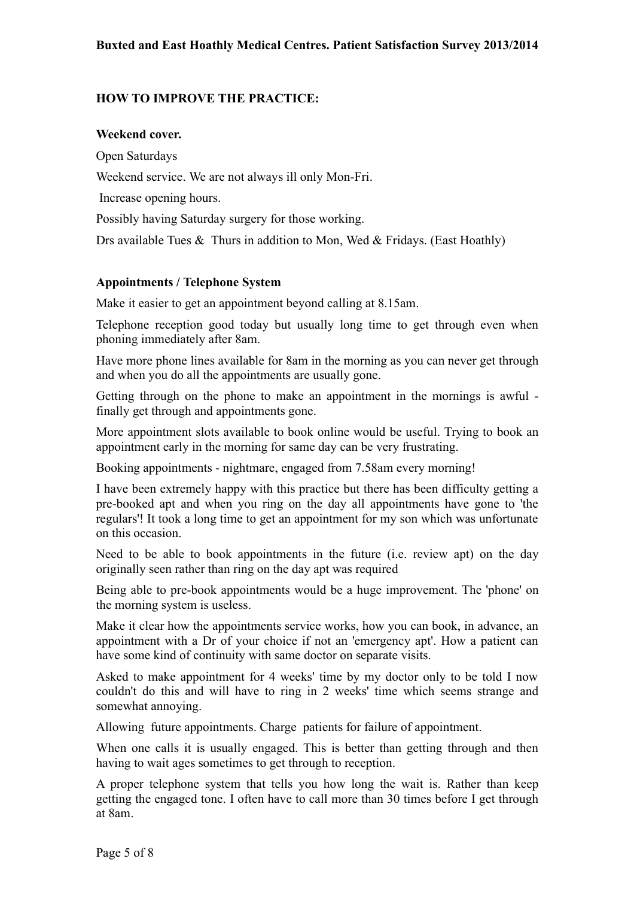## **HOW TO IMPROVE THE PRACTICE:**

#### **Weekend cover.**

Open Saturdays Weekend service. We are not always ill only Mon-Fri. Increase opening hours. Possibly having Saturday surgery for those working. Drs available Tues & Thurs in addition to Mon, Wed & Fridays. (East Hoathly)

#### **Appointments / Telephone System**

Make it easier to get an appointment beyond calling at 8.15am.

Telephone reception good today but usually long time to get through even when phoning immediately after 8am.

Have more phone lines available for 8am in the morning as you can never get through and when you do all the appointments are usually gone.

Getting through on the phone to make an appointment in the mornings is awful finally get through and appointments gone.

More appointment slots available to book online would be useful. Trying to book an appointment early in the morning for same day can be very frustrating.

Booking appointments - nightmare, engaged from 7.58am every morning!

I have been extremely happy with this practice but there has been difficulty getting a pre-booked apt and when you ring on the day all appointments have gone to 'the regulars'! It took a long time to get an appointment for my son which was unfortunate on this occasion.

Need to be able to book appointments in the future (i.e. review apt) on the day originally seen rather than ring on the day apt was required

Being able to pre-book appointments would be a huge improvement. The 'phone' on the morning system is useless.

Make it clear how the appointments service works, how you can book, in advance, an appointment with a Dr of your choice if not an 'emergency apt'. How a patient can have some kind of continuity with same doctor on separate visits.

Asked to make appointment for 4 weeks' time by my doctor only to be told I now couldn't do this and will have to ring in 2 weeks' time which seems strange and somewhat annoying.

Allowing future appointments. Charge patients for failure of appointment.

When one calls it is usually engaged. This is better than getting through and then having to wait ages sometimes to get through to reception.

A proper telephone system that tells you how long the wait is. Rather than keep getting the engaged tone. I often have to call more than 30 times before I get through at 8am.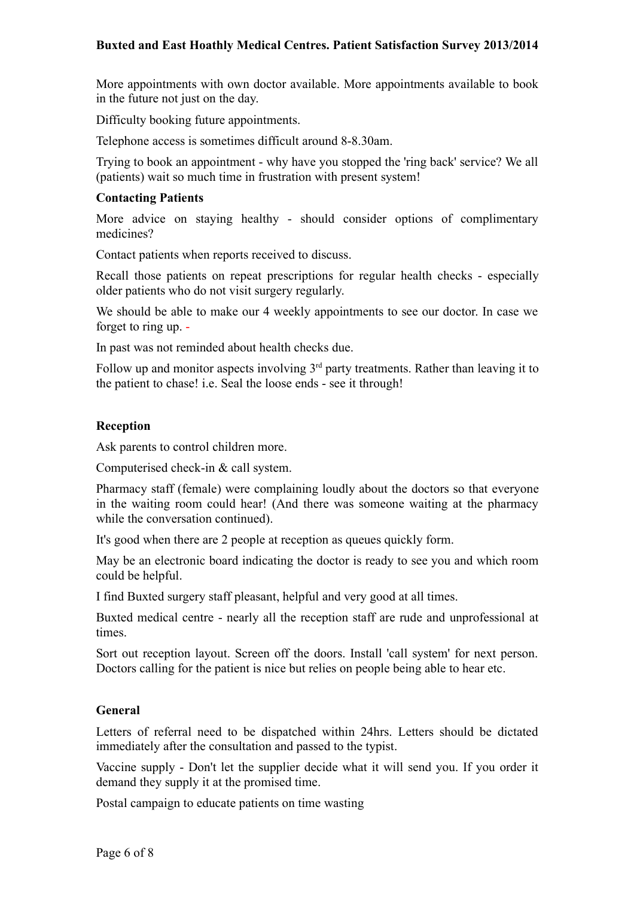## **Buxted and East Hoathly Medical Centres. Patient Satisfaction Survey 2013/2014**

More appointments with own doctor available. More appointments available to book in the future not just on the day.

Difficulty booking future appointments.

Telephone access is sometimes difficult around 8-8.30am.

Trying to book an appointment - why have you stopped the 'ring back' service? We all (patients) wait so much time in frustration with present system!

#### **Contacting Patients**

More advice on staying healthy - should consider options of complimentary medicines?

Contact patients when reports received to discuss.

Recall those patients on repeat prescriptions for regular health checks - especially older patients who do not visit surgery regularly.

We should be able to make our 4 weekly appointments to see our doctor. In case we forget to ring up. -

In past was not reminded about health checks due.

Follow up and monitor aspects involving  $3<sup>rd</sup>$  party treatments. Rather than leaving it to the patient to chase! i.e. Seal the loose ends - see it through!

## **Reception**

Ask parents to control children more.

Computerised check-in & call system.

Pharmacy staff (female) were complaining loudly about the doctors so that everyone in the waiting room could hear! (And there was someone waiting at the pharmacy while the conversation continued).

It's good when there are 2 people at reception as queues quickly form.

May be an electronic board indicating the doctor is ready to see you and which room could be helpful.

I find Buxted surgery staff pleasant, helpful and very good at all times.

Buxted medical centre - nearly all the reception staff are rude and unprofessional at times.

Sort out reception layout. Screen off the doors. Install 'call system' for next person. Doctors calling for the patient is nice but relies on people being able to hear etc.

## **General**

Letters of referral need to be dispatched within 24hrs. Letters should be dictated immediately after the consultation and passed to the typist.

Vaccine supply - Don't let the supplier decide what it will send you. If you order it demand they supply it at the promised time.

Postal campaign to educate patients on time wasting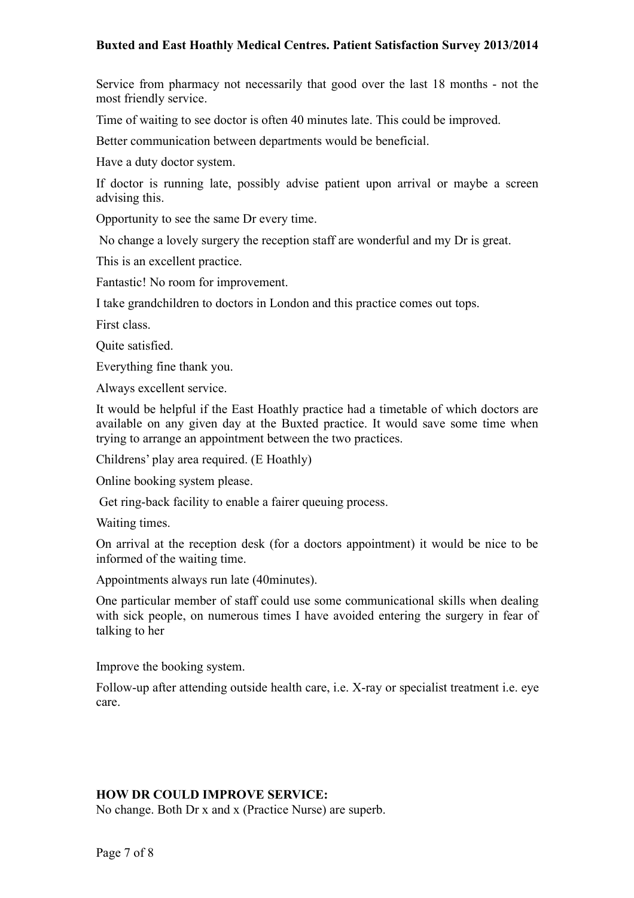## **Buxted and East Hoathly Medical Centres. Patient Satisfaction Survey 2013/2014**

Service from pharmacy not necessarily that good over the last 18 months - not the most friendly service.

Time of waiting to see doctor is often 40 minutes late. This could be improved.

Better communication between departments would be beneficial.

Have a duty doctor system.

If doctor is running late, possibly advise patient upon arrival or maybe a screen advising this.

Opportunity to see the same Dr every time.

No change a lovely surgery the reception staff are wonderful and my Dr is great.

This is an excellent practice.

Fantastic! No room for improvement.

I take grandchildren to doctors in London and this practice comes out tops.

First class.

Quite satisfied.

Everything fine thank you.

Always excellent service.

It would be helpful if the East Hoathly practice had a timetable of which doctors are available on any given day at the Buxted practice. It would save some time when trying to arrange an appointment between the two practices.

Childrens' play area required. (E Hoathly)

Online booking system please.

Get ring-back facility to enable a fairer queuing process.

Waiting times.

On arrival at the reception desk (for a doctors appointment) it would be nice to be informed of the waiting time.

Appointments always run late (40minutes).

One particular member of staff could use some communicational skills when dealing with sick people, on numerous times I have avoided entering the surgery in fear of talking to her

Improve the booking system.

Follow-up after attending outside health care, i.e. X-ray or specialist treatment i.e. eye care.

#### **HOW DR COULD IMPROVE SERVICE:**

No change. Both Dr x and x (Practice Nurse) are superb.